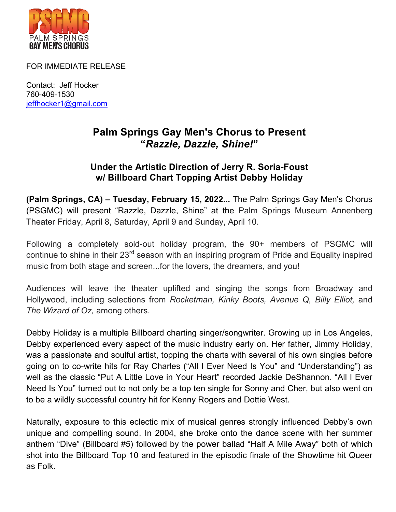

FOR IMMEDIATE RELEASE

Contact: Jeff Hocker 760-409-1530 jeffhocker1@gmail.com

## **Palm Springs Gay Men's Chorus to Present "***Razzle, Dazzle, Shine!***"**

## **Under the Artistic Direction of Jerry R. Soria-Foust w/ Billboard Chart Topping Artist Debby Holiday**

**(Palm Springs, CA) – Tuesday, February 15, 2022...** The Palm Springs Gay Men's Chorus (PSGMC) will present "Razzle, Dazzle, Shine" at the Palm Springs Museum Annenberg Theater Friday, April 8, Saturday, April 9 and Sunday, April 10.

Following a completely sold-out holiday program, the 90+ members of PSGMC will continue to shine in their 23<sup>rd</sup> season with an inspiring program of Pride and Equality inspired music from both stage and screen...for the lovers, the dreamers, and you!

Audiences will leave the theater uplifted and singing the songs from Broadway and Hollywood, including selections from *Rocketman, Kinky Boots, Avenue Q, Billy Elliot,* and *The Wizard of Oz,* among others.

Debby Holiday is a multiple Billboard charting singer/songwriter. Growing up in Los Angeles, Debby experienced every aspect of the music industry early on. Her father, Jimmy Holiday, was a passionate and soulful artist, topping the charts with several of his own singles before going on to co-write hits for Ray Charles ("All I Ever Need Is You" and "Understanding") as well as the classic "Put A Little Love in Your Heart" recorded Jackie DeShannon. "All I Ever Need Is You" turned out to not only be a top ten single for Sonny and Cher, but also went on to be a wildly successful country hit for Kenny Rogers and Dottie West.

Naturally, exposure to this eclectic mix of musical genres strongly influenced Debby's own unique and compelling sound. In 2004, she broke onto the dance scene with her summer anthem "Dive" (Billboard #5) followed by the power ballad "Half A Mile Away" both of which shot into the Billboard Top 10 and featured in the episodic finale of the Showtime hit Queer as Folk.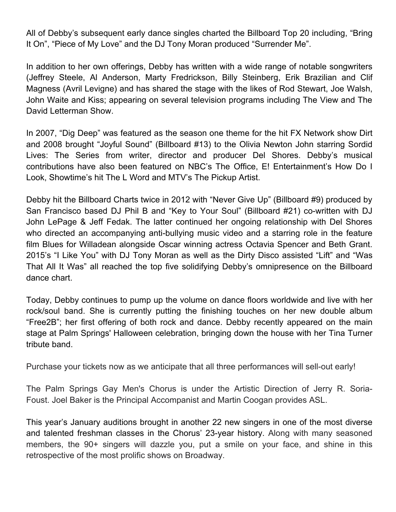All of Debby's subsequent early dance singles charted the Billboard Top 20 including, "Bring It On", "Piece of My Love" and the DJ Tony Moran produced "Surrender Me".

In addition to her own offerings, Debby has written with a wide range of notable songwriters (Jeffrey Steele, Al Anderson, Marty Fredrickson, Billy Steinberg, Erik Brazilian and Clif Magness (Avril Levigne) and has shared the stage with the likes of Rod Stewart, Joe Walsh, John Waite and Kiss; appearing on several television programs including The View and The David Letterman Show.

In 2007, "Dig Deep" was featured as the season one theme for the hit FX Network show Dirt and 2008 brought "Joyful Sound" (Billboard #13) to the Olivia Newton John starring Sordid Lives: The Series from writer, director and producer Del Shores. Debby's musical contributions have also been featured on NBC's The Office, E! Entertainment's How Do I Look, Showtime's hit The L Word and MTV's The Pickup Artist.

Debby hit the Billboard Charts twice in 2012 with "Never Give Up" (Billboard #9) produced by San Francisco based DJ Phil B and "Key to Your Soul" (Billboard #21) co-written with DJ John LePage & Jeff Fedak. The latter continued her ongoing relationship with Del Shores who directed an accompanying anti-bullying music video and a starring role in the feature film Blues for Willadean alongside Oscar winning actress Octavia Spencer and Beth Grant. 2015's "I Like You" with DJ Tony Moran as well as the Dirty Disco assisted "Lift" and "Was That All It Was" all reached the top five solidifying Debby's omnipresence on the Billboard dance chart.

Today, Debby continues to pump up the volume on dance floors worldwide and live with her rock/soul band. She is currently putting the finishing touches on her new double album "Free2B"; her first offering of both rock and dance. Debby recently appeared on the main stage at Palm Springs' Halloween celebration, bringing down the house with her Tina Turner tribute band.

Purchase your tickets now as we anticipate that all three performances will sell-out early!

The Palm Springs Gay Men's Chorus is under the Artistic Direction of Jerry R. Soria-Foust. Joel Baker is the Principal Accompanist and Martin Coogan provides ASL.

This year's January auditions brought in another 22 new singers in one of the most diverse and talented freshman classes in the Chorus' 23-year history. Along with many seasoned members, the 90+ singers will dazzle you, put a smile on your face, and shine in this retrospective of the most prolific shows on Broadway.